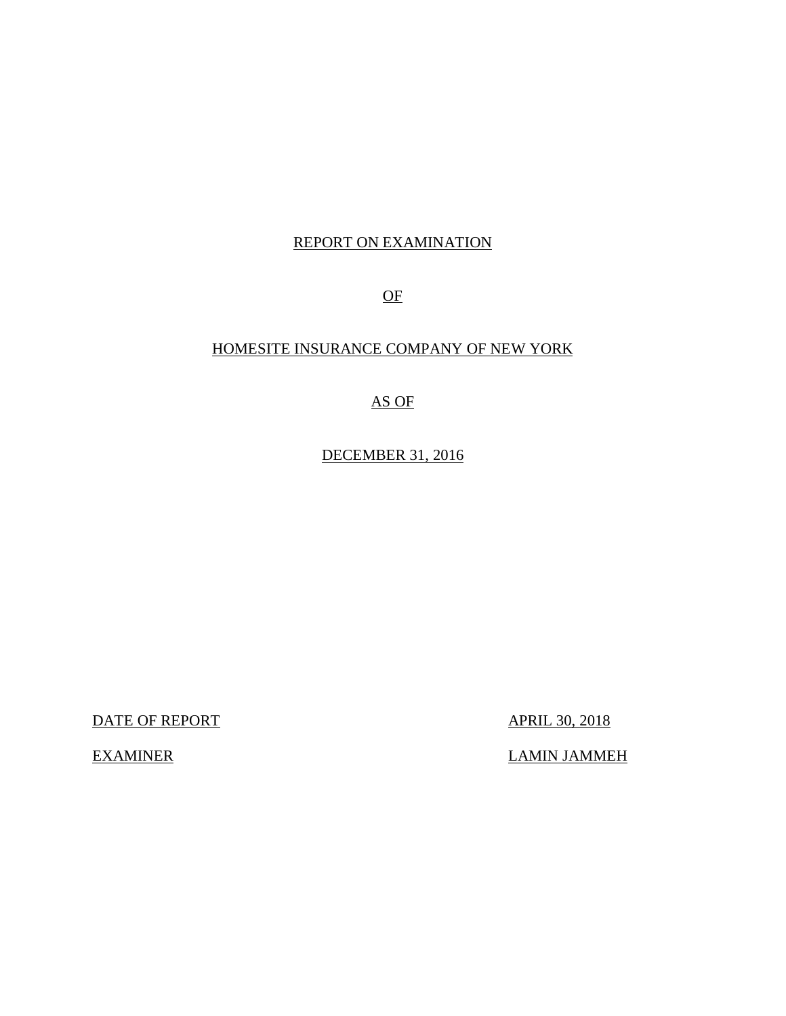# REPORT ON EXAMINATION

OF

# HOMESITE INSURANCE COMPANY OF NEW YORK

AS OF

DECEMBER 31, 2016

DATE OF REPORT APRIL 30, 2018

EXAMINER LAMIN JAMMEH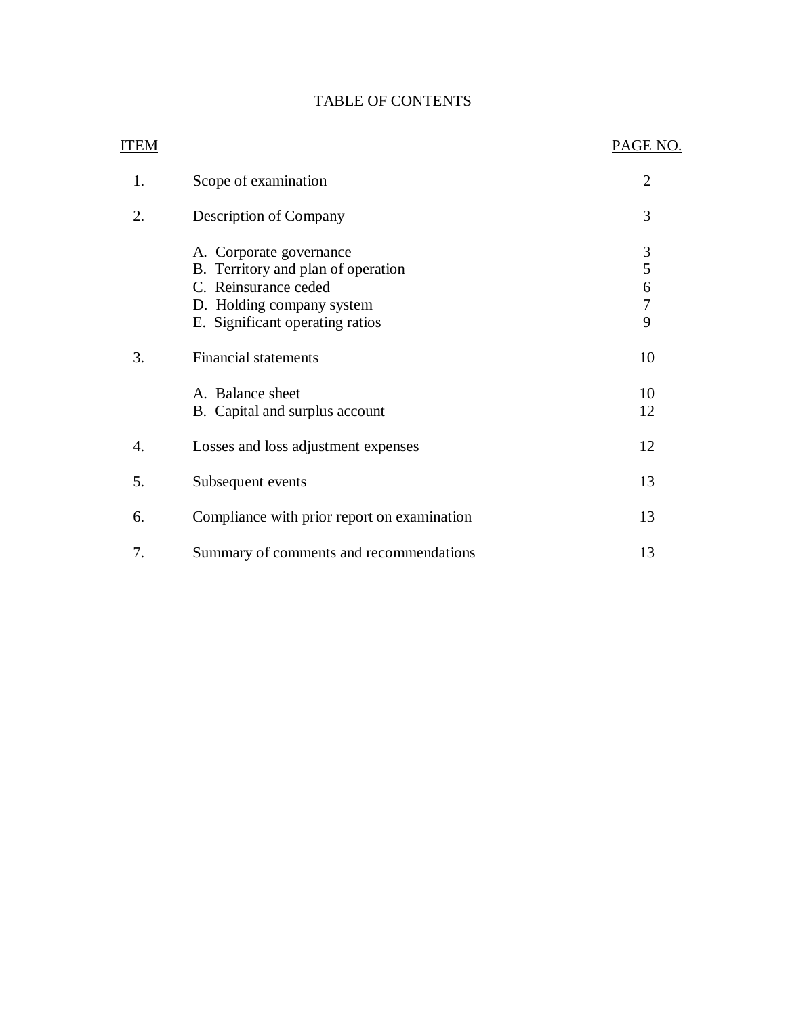### TABLE OF CONTENTS

| <b>ITEM</b> |                                                                                                                                                       | PAGE NO.                                        |
|-------------|-------------------------------------------------------------------------------------------------------------------------------------------------------|-------------------------------------------------|
| 1.          | Scope of examination                                                                                                                                  | $\overline{2}$                                  |
| 2.          | Description of Company                                                                                                                                | 3                                               |
|             | A. Corporate governance<br>B. Territory and plan of operation<br>C. Reinsurance ceded<br>D. Holding company system<br>E. Significant operating ratios | $\mathfrak{Z}$<br>5<br>6<br>$\overline{7}$<br>9 |
| 3.          | <b>Financial statements</b><br>A. Balance sheet<br>B. Capital and surplus account                                                                     | 10<br>10<br>12                                  |
| 4.          | Losses and loss adjustment expenses                                                                                                                   | 12                                              |
| 5.          | Subsequent events                                                                                                                                     | 13                                              |
| 6.          | Compliance with prior report on examination                                                                                                           | 13                                              |
| 7.          | Summary of comments and recommendations                                                                                                               | 13                                              |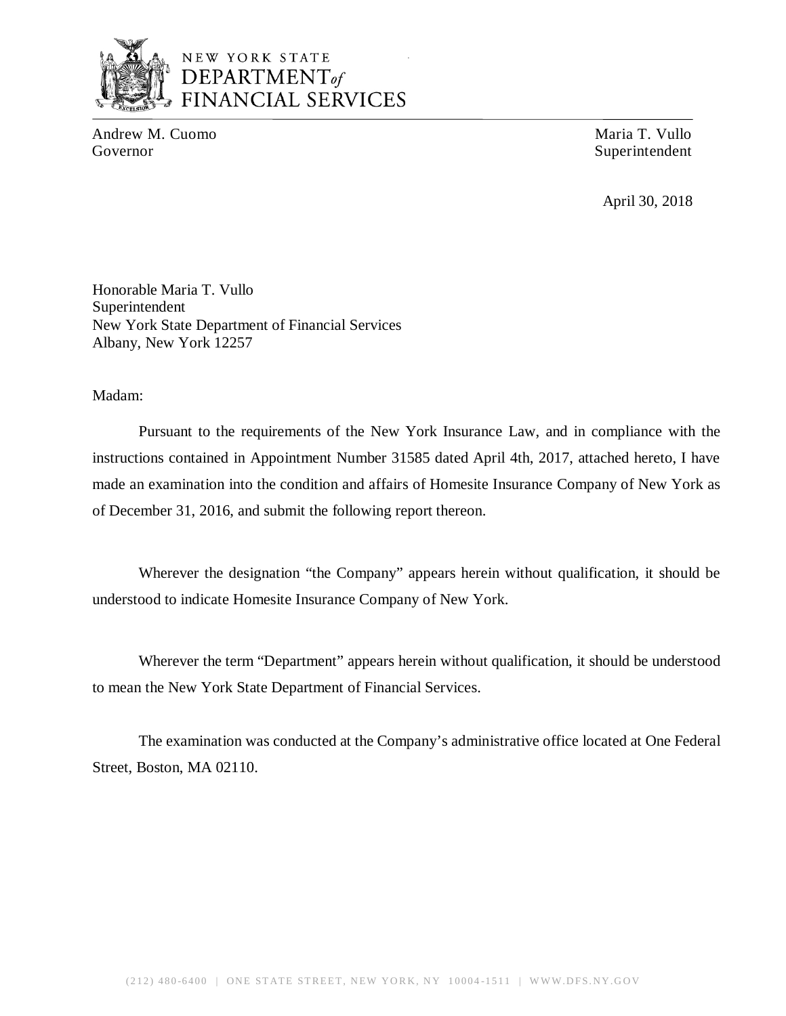

# NEW YORK STATE *DEPARTMENTof*  FINANCIAL SERVICES

Andrew M. Cuomo **Maria T. Vullo** Maria T. Vullo Governor Superintendent Superintendent

April 30, 2018

Honorable Maria T. Vullo Superintendent New York State Department of Financial Services Albany, New York 12257

### Madam:

Pursuant to the requirements of the New York Insurance Law, and in compliance with the instructions contained in Appointment Number 31585 dated April 4th, 2017, attached hereto, I have made an examination into the condition and affairs of Homesite Insurance Company of New York as of December 31, 2016, and submit the following report thereon.

Wherever the designation "the Company" appears herein without qualification, it should be understood to indicate Homesite Insurance Company of New York.

Wherever the term "Department" appears herein without qualification, it should be understood to mean the New York State Department of Financial Services.

The examination was conducted at the Company's administrative office located at One Federal Street, Boston, MA 02110.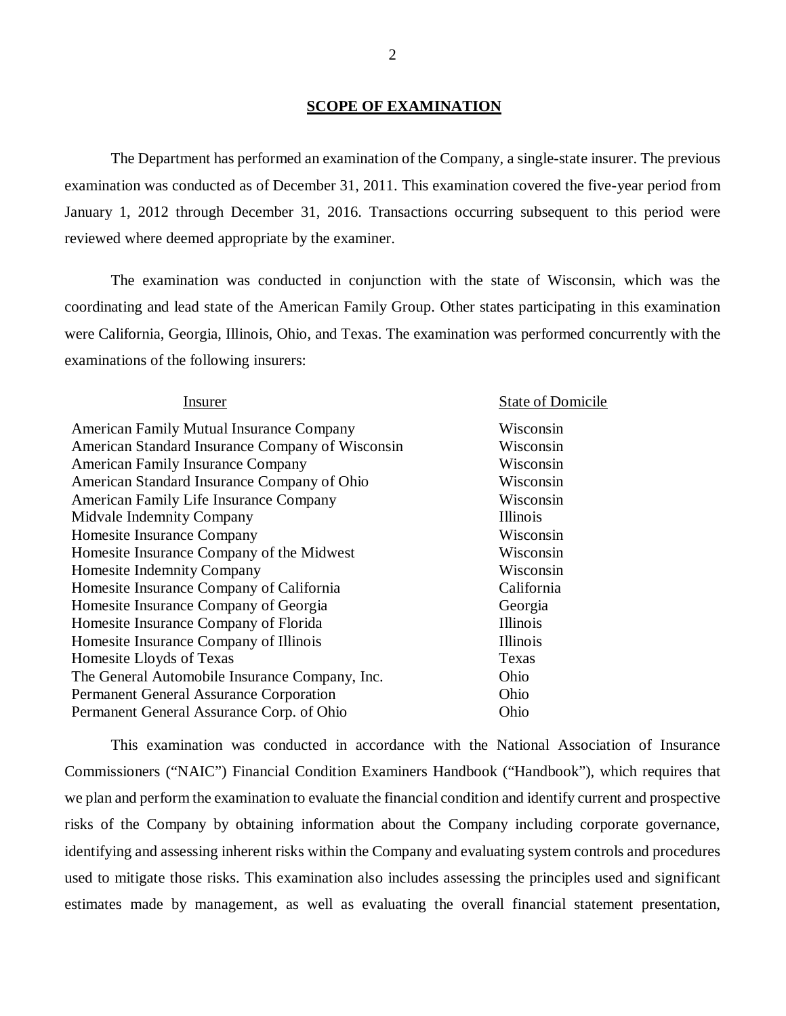### **SCOPE OF EXAMINATION**

The Department has performed an examination of the Company*,* a single-state insurer. The previous examination was conducted as of December 31, 2011. This examination covered the five-year period from January 1, 2012 through December 31, 2016. Transactions occurring subsequent to this period were reviewed where deemed appropriate by the examiner.

The examination was conducted in conjunction with the state of Wisconsin, which was the coordinating and lead state of the American Family Group. Other states participating in this examination were California, Georgia, Illinois, Ohio, and Texas. The examination was performed concurrently with the examinations of the following insurers:

| Insurer                                          | <b>State of Domicile</b> |
|--------------------------------------------------|--------------------------|
| <b>American Family Mutual Insurance Company</b>  | Wisconsin                |
| American Standard Insurance Company of Wisconsin | Wisconsin                |
| <b>American Family Insurance Company</b>         | Wisconsin                |
| American Standard Insurance Company of Ohio      | Wisconsin                |
| <b>American Family Life Insurance Company</b>    | Wisconsin                |
| <b>Midvale Indemnity Company</b>                 | Illinois                 |
| <b>Homesite Insurance Company</b>                | Wisconsin                |
| Homesite Insurance Company of the Midwest        | Wisconsin                |
| <b>Homesite Indemnity Company</b>                | Wisconsin                |
| Homesite Insurance Company of California         | California               |
| Homesite Insurance Company of Georgia            | Georgia                  |
| Homesite Insurance Company of Florida            | Illinois                 |
| Homesite Insurance Company of Illinois           | Illinois                 |
| Homesite Lloyds of Texas                         | Texas                    |
| The General Automobile Insurance Company, Inc.   | Ohio                     |
| <b>Permanent General Assurance Corporation</b>   | Ohio                     |
| Permanent General Assurance Corp. of Ohio        | Ohio                     |
|                                                  |                          |

This examination was conducted in accordance with the National Association of Insurance Commissioners ("NAIC") Financial Condition Examiners Handbook ("Handbook"), which requires that we plan and perform the examination to evaluate the financial condition and identify current and prospective risks of the Company by obtaining information about the Company including corporate governance, identifying and assessing inherent risks within the Company and evaluating system controls and procedures used to mitigate those risks. This examination also includes assessing the principles used and significant estimates made by management, as well as evaluating the overall financial statement presentation,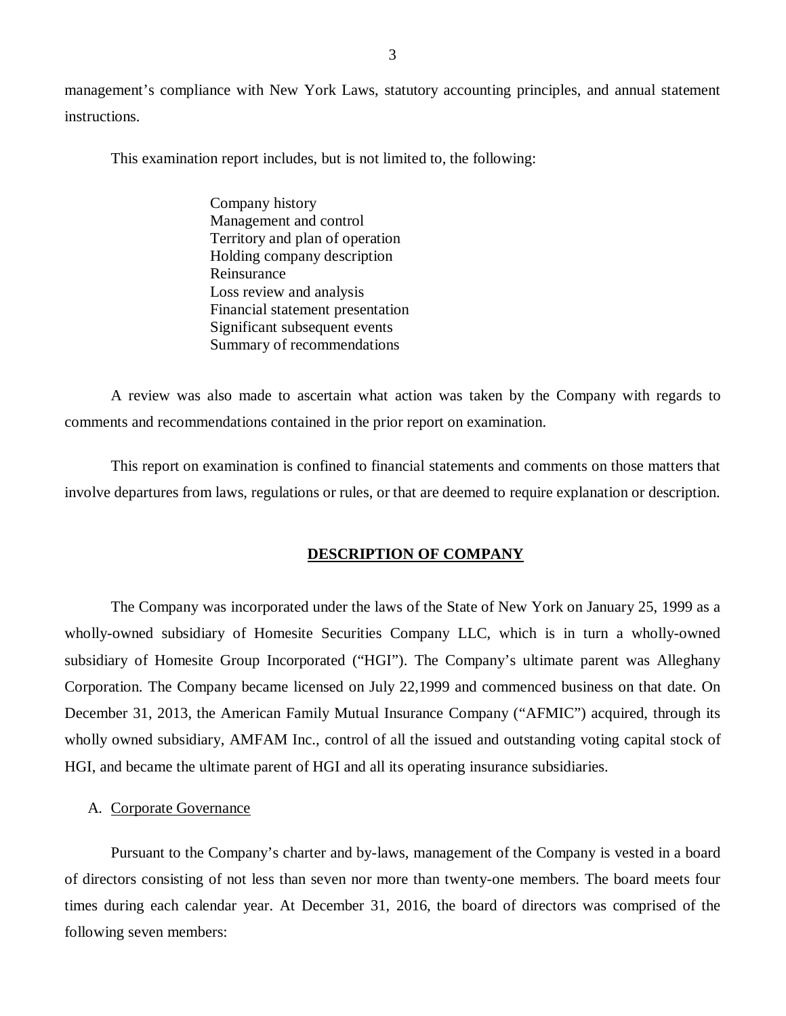<span id="page-4-0"></span>management's compliance with New York Laws, statutory accounting principles, and annual statement instructions.

This examination report includes, but is not limited to, the following:

Company history Management and control Territory and plan of operation Holding company description Reinsurance Loss review and analysis Financial statement presentation Significant subsequent events Summary of recommendations

A review was also made to ascertain what action was taken by the Company with regards to comments and recommendations contained in the prior report on examination.

This report on examination is confined to financial statements and comments on those matters that involve departures from laws, regulations or rules, or that are deemed to require explanation or description.

#### **DESCRIPTION OF COMPANY**

The Company was incorporated under the laws of the State of New York on January 25, 1999 as a wholly-owned subsidiary of Homesite Securities Company LLC, which is in turn a wholly-owned subsidiary of Homesite Group Incorporated ("HGI"). The Company's ultimate parent was Alleghany Corporation. The Company became licensed on July 22,1999 and commenced business on that date. On December 31, 2013, the American Family Mutual Insurance Company ("AFMIC") acquired, through its wholly owned subsidiary, AMFAM Inc., control of all the issued and outstanding voting capital stock of HGI, and became the ultimate parent of HGI and all its operating insurance subsidiaries.

### A. Corporate Governance

Pursuant to the Company's charter and by-laws, management of the Company is vested in a board of directors consisting of not less than seven nor more than twenty-one members. The board meets four times during each calendar year. At December 31, 2016, the board of directors was comprised of the following seven members: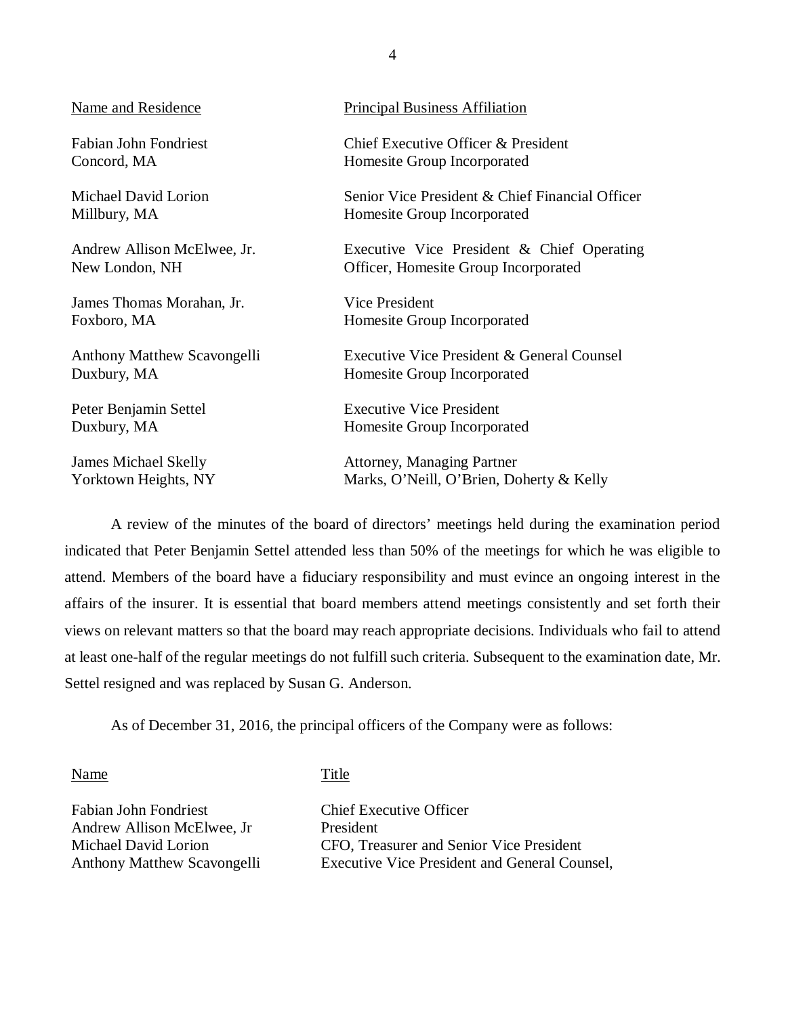James Thomas Morahan, Jr. Vice President

Duxbury, MA Homesite Group Incorporated

Name and Residence Principal Business Affiliation

Fabian John Fondriest Chief Executive Officer & President Concord, MA Homesite Group Incorporated

Michael David Lorion Senior Vice President & Chief Financial Officer Millbury, MA Homesite Group Incorporated

Andrew Allison McElwee, Jr. Executive Vice President & Chief Operating New London, NH Officer, Homesite Group Incorporated

Foxboro, MA Homesite Group Incorporated

Anthony Matthew Scavongelli Executive Vice President & General Counsel

Peter Benjamin Settel Executive Vice President Duxbury, MA Homesite Group Incorporated

James Michael Skelly Attorney, Managing Partner Yorktown Heights, NY Marks, O'Neill, O'Brien, Doherty & Kelly

A review of the minutes of the board of directors' meetings held during the examination period indicated that Peter Benjamin Settel attended less than 50% of the meetings for which he was eligible to attend. Members of the board have a fiduciary responsibility and must evince an ongoing interest in the affairs of the insurer. It is essential that board members attend meetings consistently and set forth their views on relevant matters so that the board may reach appropriate decisions. Individuals who fail to attend at least one-half of the regular meetings do not fulfill such criteria. Subsequent to the examination date, Mr. Settel resigned and was replaced by Susan G. Anderson.

As of December 31, 2016, the principal officers of the Company were as follows:

Name Title

Fabian John Fondriest Chief Executive Officer Andrew Allison McElwee, Jr President

Michael David Lorion CFO, Treasurer and Senior Vice President Anthony Matthew Scavongelli Executive Vice President and General Counsel,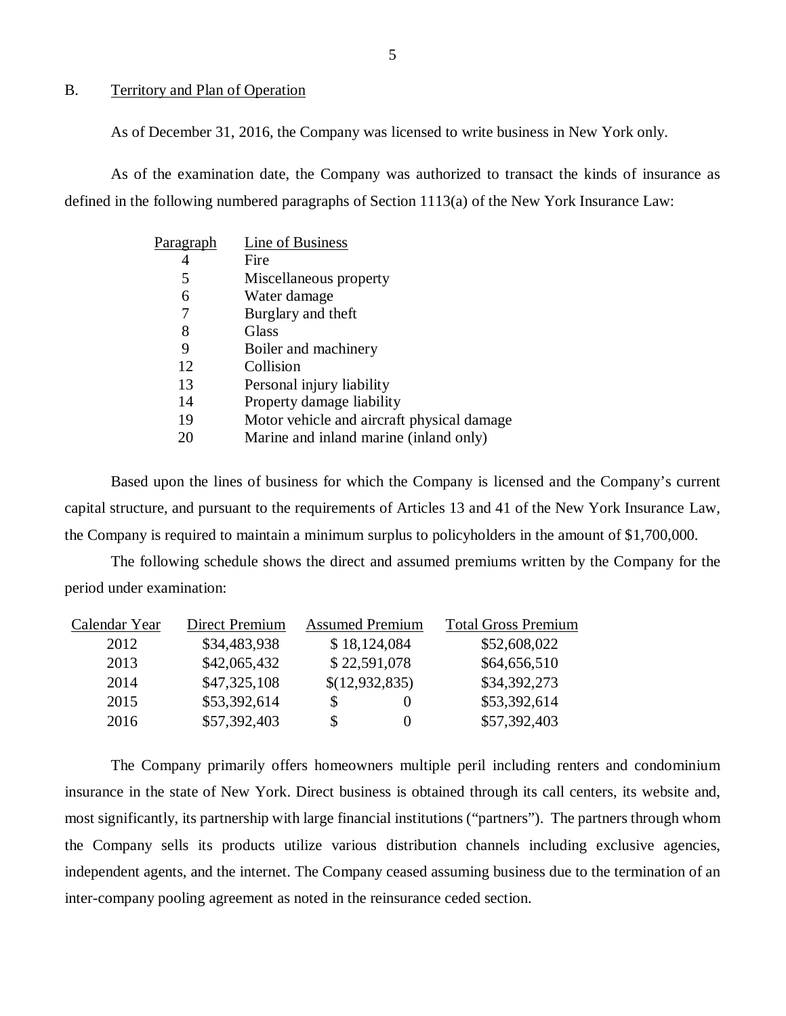### B. Territory and Plan of Operation

As of December 31, 2016, the Company was licensed to write business in New York only.

As of the examination date, the Company was authorized to transact the kinds of insurance as defined in the following numbered paragraphs of Section 1113(a) of the New York Insurance Law:

| Line of Business                           |
|--------------------------------------------|
| Fire                                       |
| Miscellaneous property                     |
| Water damage                               |
| Burglary and theft                         |
| Glass                                      |
| Boiler and machinery                       |
| Collision                                  |
| Personal injury liability                  |
| Property damage liability                  |
| Motor vehicle and aircraft physical damage |
| Marine and inland marine (inland only)     |
|                                            |

Based upon the lines of business for which the Company is licensed and the Company's current capital structure, and pursuant to the requirements of Articles 13 and 41 of the New York Insurance Law, the Company is required to maintain a minimum surplus to policyholders in the amount of \$1,700,000.

The following schedule shows the direct and assumed premiums written by the Company for the period under examination:

| Calendar Year | Direct Premium | <b>Assumed Premium</b> | <b>Total Gross Premium</b> |
|---------------|----------------|------------------------|----------------------------|
| 2012          | \$34,483,938   | \$18,124,084           | \$52,608,022               |
| 2013          | \$42,065,432   | \$22,591,078           | \$64,656,510               |
| 2014          | \$47,325,108   | \$(12,932,835)         | \$34,392,273               |
| 2015          | \$53,392,614   |                        | \$53,392,614               |
| 2016          | \$57,392,403   | \$                     | \$57,392,403               |

The Company primarily offers homeowners multiple peril including renters and condominium insurance in the state of New York. Direct business is obtained through its call centers, its website and, most significantly, its partnership with large financial institutions ("partners"). The partners through whom the Company sells its products utilize various distribution channels including exclusive agencies, independent agents, and the internet. The Company ceased assuming business due to the termination of an inter-company pooling agreement as noted in the reinsurance ceded section.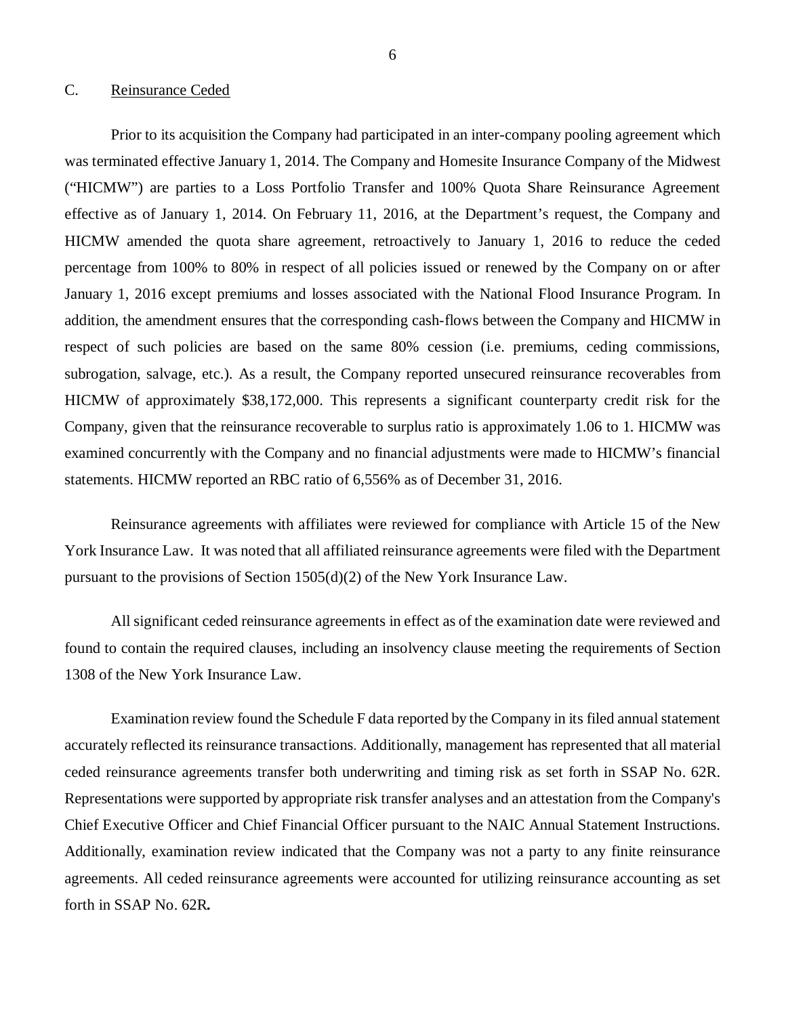#### <span id="page-7-0"></span>C. Reinsurance Ceded

Prior to its acquisition the Company had participated in an inter-company pooling agreement which was terminated effective January 1, 2014. The Company and Homesite Insurance Company of the Midwest ("HICMW") are parties to a Loss Portfolio Transfer and 100% Quota Share Reinsurance Agreement effective as of January 1, 2014. On February 11, 2016, at the Department's request, the Company and HICMW amended the quota share agreement, retroactively to January 1, 2016 to reduce the ceded percentage from 100% to 80% in respect of all policies issued or renewed by the Company on or after January 1, 2016 except premiums and losses associated with the National Flood Insurance Program. In addition, the amendment ensures that the corresponding cash-flows between the Company and HICMW in respect of such policies are based on the same 80% cession (i.e. premiums, ceding commissions, subrogation, salvage, etc.). As a result, the Company reported unsecured reinsurance recoverables from HICMW of approximately \$38,172,000. This represents a significant counterparty credit risk for the Company, given that the reinsurance recoverable to surplus ratio is approximately 1.06 to 1. HICMW was examined concurrently with the Company and no financial adjustments were made to HICMW's financial statements. HICMW reported an RBC ratio of 6,556% as of December 31, 2016.

Reinsurance agreements with affiliates were reviewed for compliance with Article 15 of the New York Insurance Law. It was noted that all affiliated reinsurance agreements were filed with the Department pursuant to the provisions of Section 1505(d)(2) of the New York Insurance Law.

All significant ceded reinsurance agreements in effect as of the examination date were reviewed and found to contain the required clauses, including an insolvency clause meeting the requirements of Section 1308 of the New York Insurance Law.

Examination review found the Schedule F data reported by the Company in its filed annual statement accurately reflected its reinsurance transactions. Additionally, management has represented that all material ceded reinsurance agreements transfer both underwriting and timing risk as set forth in SSAP No. 62R. Representations were supported by appropriate risk transfer analyses and an attestation from the Company's Chief Executive Officer and Chief Financial Officer pursuant to the NAIC Annual Statement Instructions. Additionally, examination review indicated that the Company was not a party to any finite reinsurance agreements. All ceded reinsurance agreements were accounted for utilizing reinsurance accounting as set forth in SSAP No. 62R*.*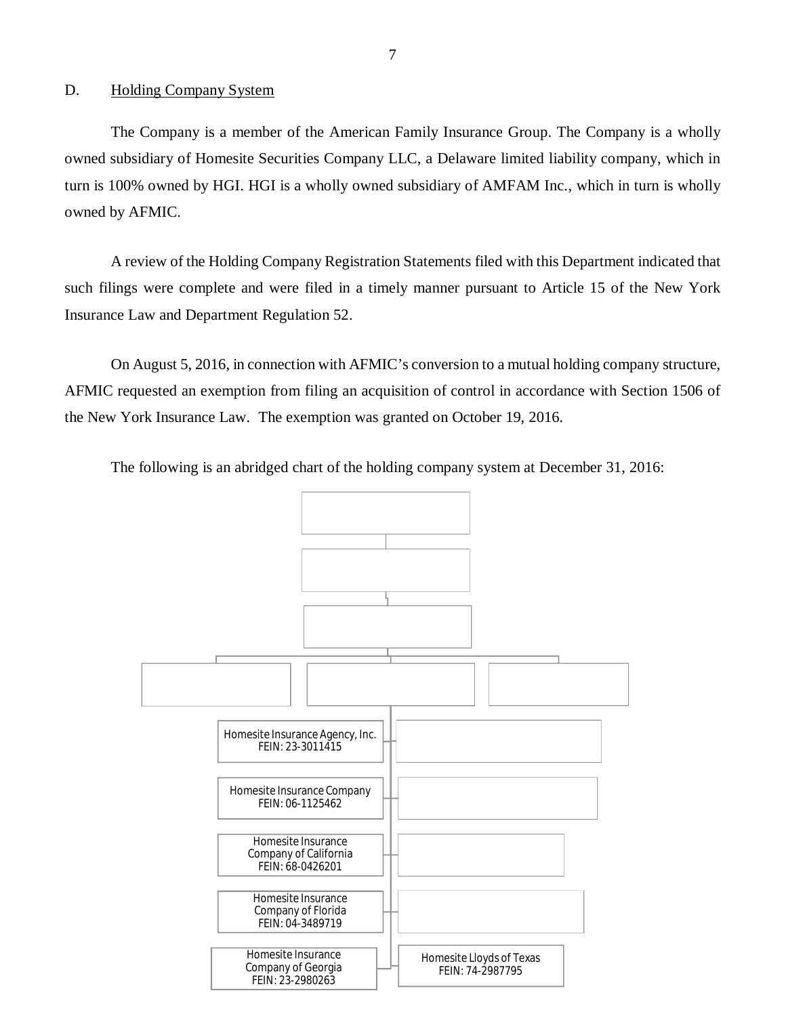### <span id="page-8-0"></span>D. Holding Company System

The Company is a member of the American Family Insurance Group. The Company is a wholly owned subsidiary of Homesite Securities Company LLC, a Delaware limited liability company, which in turn is 100% owned by HGI. HGI is a wholly owned subsidiary of AMFAM Inc., which in turn is wholly owned by AFMIC.

A review of the Holding Company Registration Statements filed with this Department indicated that such filings were complete and were filed in a timely manner pursuant to Article 15 of the New York Insurance Law and Department Regulation 52.

On August 5, 2016, in connection with AFMIC's conversion to a mutual holding company structure, AFMIC requested an exemption from filing an acquisition of control in accordance with Section 1506 of the New York Insurance Law. The exemption was granted on October 19, 2016.

The following is an abridged chart of the holding company system at December 31, 2016:

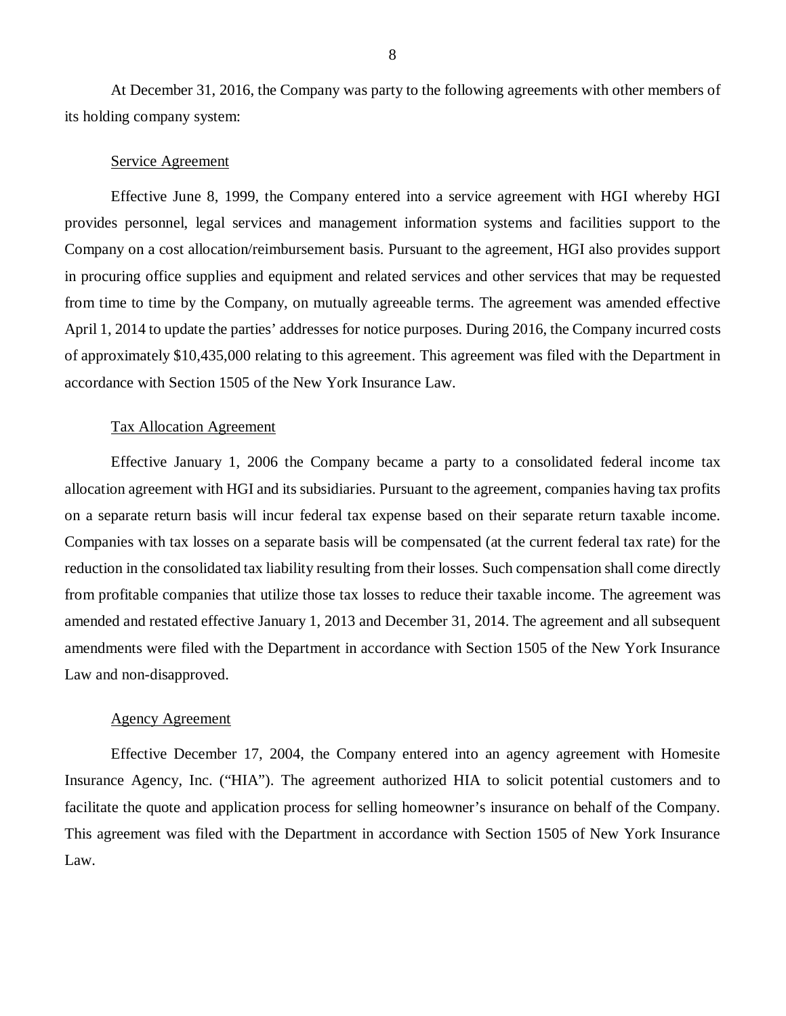At December 31, 2016, the Company was party to the following agreements with other members of its holding company system:

### Service Agreement

Effective June 8, 1999, the Company entered into a service agreement with HGI whereby HGI provides personnel, legal services and management information systems and facilities support to the Company on a cost allocation/reimbursement basis. Pursuant to the agreement, HGI also provides support in procuring office supplies and equipment and related services and other services that may be requested from time to time by the Company, on mutually agreeable terms. The agreement was amended effective April 1, 2014 to update the parties' addresses for notice purposes. During 2016, the Company incurred costs of approximately \$10,435,000 relating to this agreement. This agreement was filed with the Department in accordance with Section 1505 of the New York Insurance Law.

### Tax Allocation Agreement

Effective January 1, 2006 the Company became a party to a consolidated federal income tax allocation agreement with HGI and its subsidiaries. Pursuant to the agreement, companies having tax profits on a separate return basis will incur federal tax expense based on their separate return taxable income. Companies with tax losses on a separate basis will be compensated (at the current federal tax rate) for the reduction in the consolidated tax liability resulting from their losses. Such compensation shall come directly from profitable companies that utilize those tax losses to reduce their taxable income. The agreement was amended and restated effective January 1, 2013 and December 31, 2014. The agreement and all subsequent amendments were filed with the Department in accordance with Section 1505 of the New York Insurance Law and non-disapproved.

#### Agency Agreement

Effective December 17, 2004, the Company entered into an agency agreement with Homesite Insurance Agency, Inc. ("HIA"). The agreement authorized HIA to solicit potential customers and to facilitate the quote and application process for selling homeowner's insurance on behalf of the Company. This agreement was filed with the Department in accordance with Section 1505 of New York Insurance Law.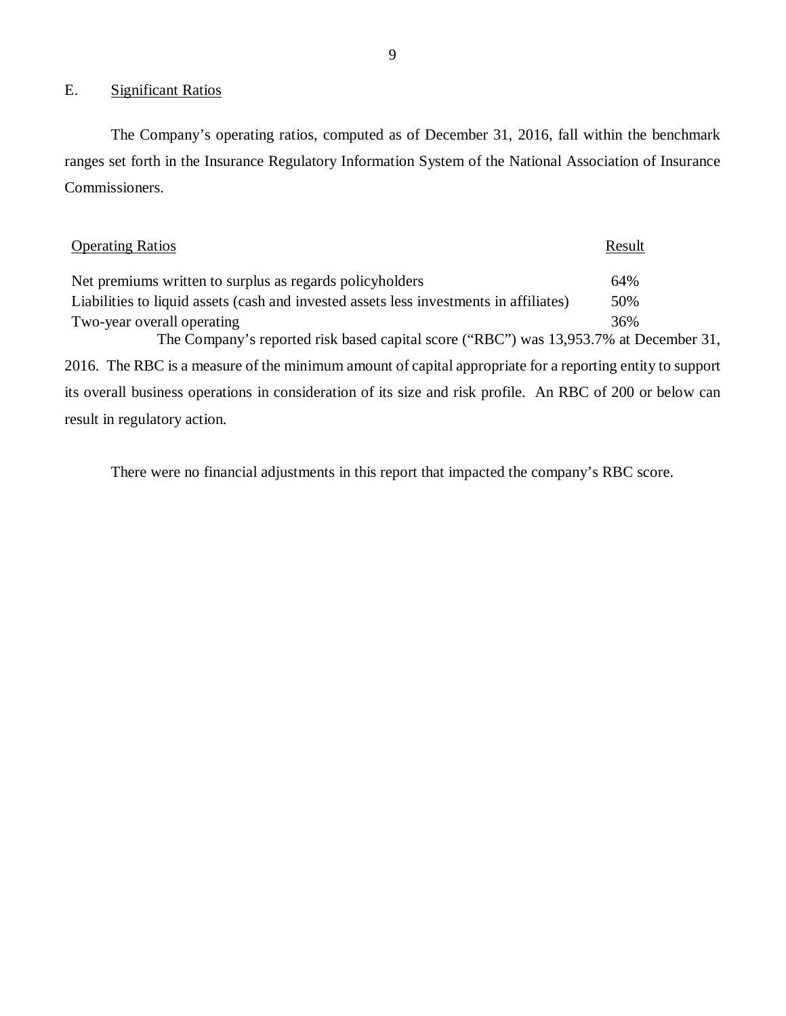### E. Significant Ratios

The Company's operating ratios, computed as of December 31, 2016, fall within the benchmark ranges set forth in the Insurance Regulatory Information System of the National Association of Insurance Commissioners.

| <b>Operating Ratios</b>                                                                                   | Result |
|-----------------------------------------------------------------------------------------------------------|--------|
| Net premiums written to surplus as regards policyholders                                                  | 64%    |
| Liabilities to liquid assets (cash and invested assets less investments in affiliates)                    | 50%    |
| Two-year overall operating                                                                                | 36%    |
| The Company's reported risk based capital score ("RBC") was 13,953.7% at December 31,                     |        |
| 2016. The RBC is a measure of the minimum amount of capital appropriate for a reporting entity to support |        |
| its overall business operations in consideration of its size and risk profile. An RBC of 200 or below can |        |
| result in regulatory action.                                                                              |        |

There were no financial adjustments in this report that impacted the company's RBC score.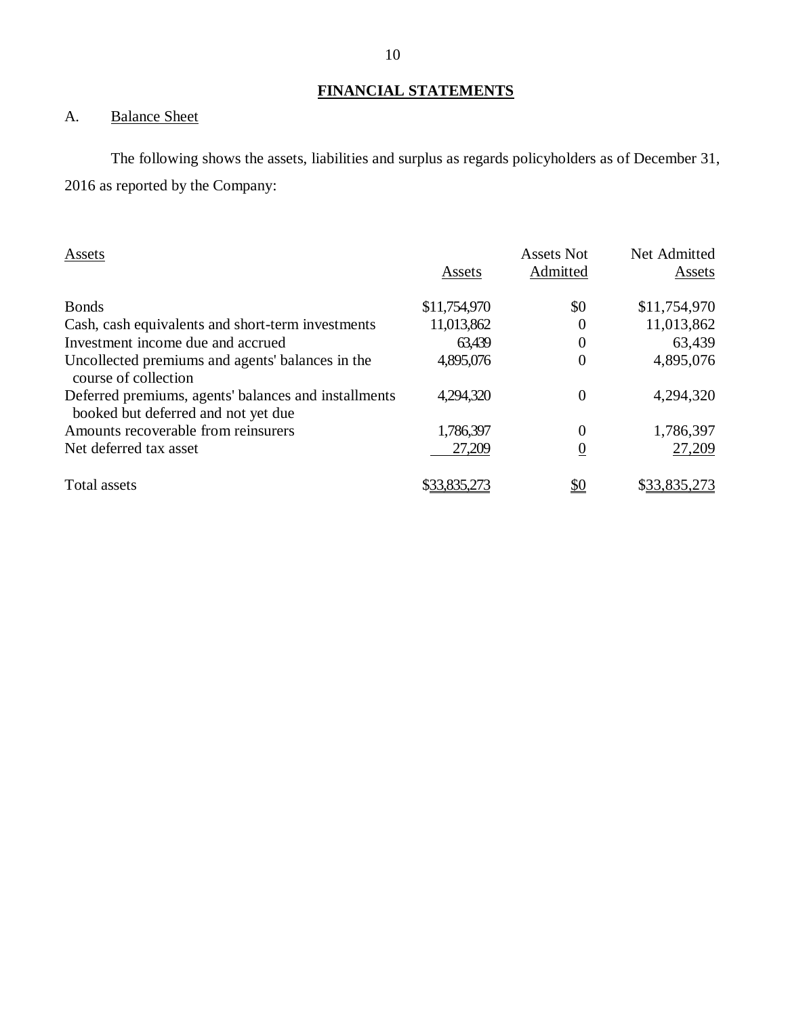# **FINANCIAL STATEMENTS**

# <span id="page-11-0"></span>A. Balance Sheet

The following shows the assets, liabilities and surplus as regards policyholders as of December 31, 2016 as reported by the Company:

| Assets                                                                                      | Assets       | <b>Assets Not</b><br>Admitted | Net Admitted<br>Assets |
|---------------------------------------------------------------------------------------------|--------------|-------------------------------|------------------------|
|                                                                                             |              |                               |                        |
| <b>Bonds</b>                                                                                | \$11,754,970 | \$0                           | \$11,754,970           |
| Cash, cash equivalents and short-term investments                                           | 11,013,862   | 0                             | 11,013,862             |
| Investment income due and accrued                                                           | 63,439       | 0                             | 63,439                 |
| Uncollected premiums and agents' balances in the<br>course of collection                    | 4,895,076    | 0                             | 4,895,076              |
| Deferred premiums, agents' balances and installments<br>booked but deferred and not yet due | 4,294,320    | 0                             | 4,294,320              |
| Amounts recoverable from reinsurers                                                         | 1,786,397    | 0                             | 1,786,397              |
| Net deferred tax asset                                                                      | 27,209       | $\boldsymbol{0}$              | 27,209                 |
| Total assets                                                                                | \$33.835.273 | <u>\$0</u>                    | \$33,835,273           |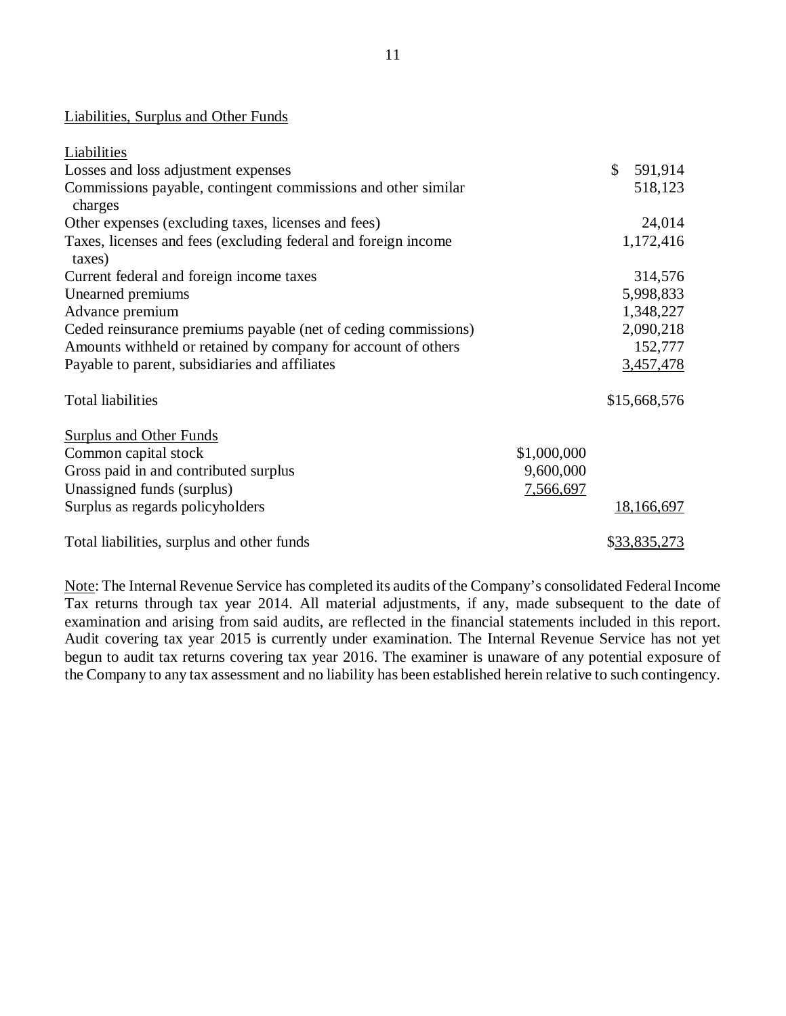### Liabilities, Surplus and Other Funds

| Liabilities                                                              |                  |               |
|--------------------------------------------------------------------------|------------------|---------------|
| Losses and loss adjustment expenses                                      |                  | \$<br>591,914 |
| Commissions payable, contingent commissions and other similar<br>charges |                  | 518,123       |
| Other expenses (excluding taxes, licenses and fees)                      |                  | 24,014        |
| Taxes, licenses and fees (excluding federal and foreign income<br>taxes) |                  | 1,172,416     |
| Current federal and foreign income taxes                                 |                  | 314,576       |
| Unearned premiums                                                        |                  | 5,998,833     |
| Advance premium                                                          |                  | 1,348,227     |
| Ceded reinsurance premiums payable (net of ceding commissions)           |                  | 2,090,218     |
| Amounts withheld or retained by company for account of others            |                  | 152,777       |
| Payable to parent, subsidiaries and affiliates                           |                  | 3,457,478     |
| <b>Total liabilities</b>                                                 |                  | \$15,668,576  |
| <b>Surplus and Other Funds</b>                                           |                  |               |
| Common capital stock                                                     | \$1,000,000      |               |
| Gross paid in and contributed surplus                                    | 9,600,000        |               |
| Unassigned funds (surplus)                                               | <u>7,566,697</u> |               |
| Surplus as regards policyholders                                         |                  | 18,166,697    |
| Total liabilities, surplus and other funds                               |                  | \$33,835,273  |

Note: The Internal Revenue Service has completed its audits of the Company's consolidated Federal Income Tax returns through tax year 2014. All material adjustments, if any, made subsequent to the date of examination and arising from said audits, are reflected in the financial statements included in this report. Audit covering tax year 2015 is currently under examination. The Internal Revenue Service has not yet begun to audit tax returns covering tax year 2016. The examiner is unaware of any potential exposure of the Company to any tax assessment and no liability has been established herein relative to such contingency.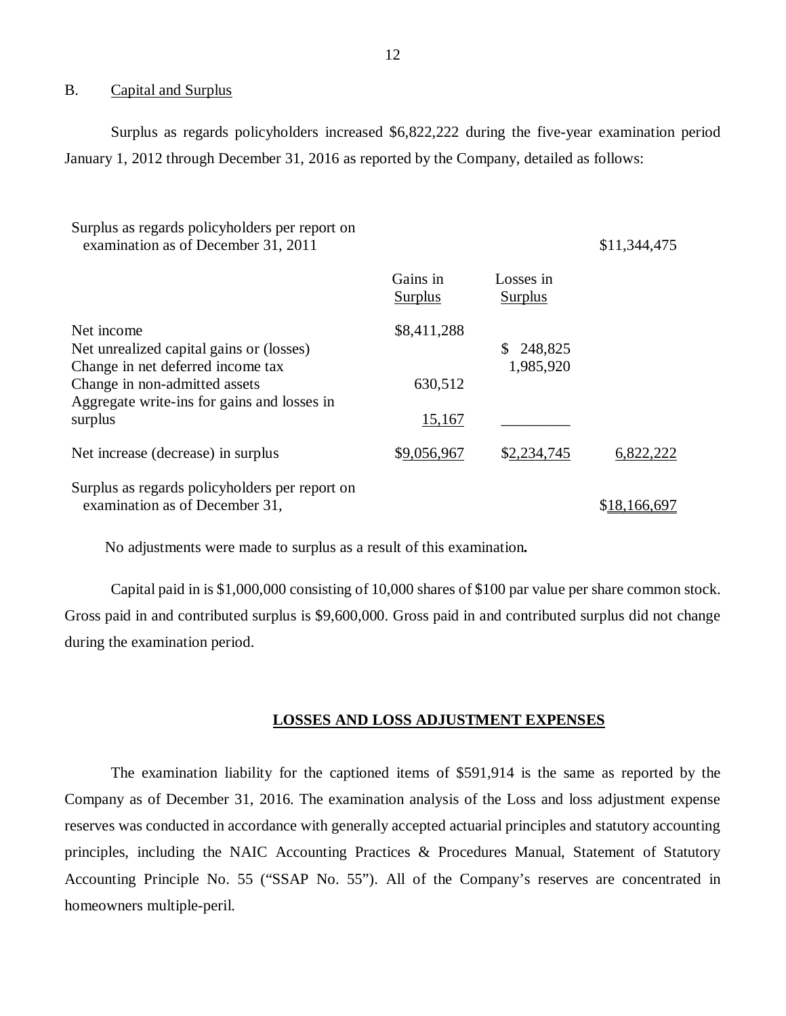#### B. Capital and Surplus

Surplus as regards policyholders increased \$6,822,222 during the five-year examination period January 1, 2012 through December 31, 2016 as reported by the Company, detailed as follows:

| Surplus as regards policyholders per report on<br>examination as of December 31, 2011       |                            |                             | \$11,344,475 |
|---------------------------------------------------------------------------------------------|----------------------------|-----------------------------|--------------|
|                                                                                             | Gains in<br><b>Surplus</b> | Losses in<br><b>Surplus</b> |              |
| Net income<br>Net unrealized capital gains or (losses)<br>Change in net deferred income tax | \$8,411,288                | 248,825<br>1,985,920        |              |
| Change in non-admitted assets<br>Aggregate write-ins for gains and losses in                | 630,512                    |                             |              |
| surplus                                                                                     | <u>15,167</u>              |                             |              |
| Net increase (decrease) in surplus                                                          | \$9,056,967                | \$2,234,745                 | 6,822,222    |
| Surplus as regards policyholders per report on<br>examination as of December 31,            |                            |                             | \$18,166,697 |

No adjustments were made to surplus as a result of this examination*.* 

Capital paid in is \$1,000,000 consisting of 10,000 shares of \$100 par value per share common stock. Gross paid in and contributed surplus is \$9,600,000. Gross paid in and contributed surplus did not change during the examination period.

### **LOSSES AND LOSS ADJUSTMENT EXPENSES**

The examination liability for the captioned items of \$591,914 is the same as reported by the Company as of December 31, 2016. The examination analysis of the Loss and loss adjustment expense reserves was conducted in accordance with generally accepted actuarial principles and statutory accounting principles, including the NAIC Accounting Practices & Procedures Manual, Statement of Statutory Accounting Principle No. 55 ("SSAP No. 55"). All of the Company's reserves are concentrated in homeowners multiple-peril.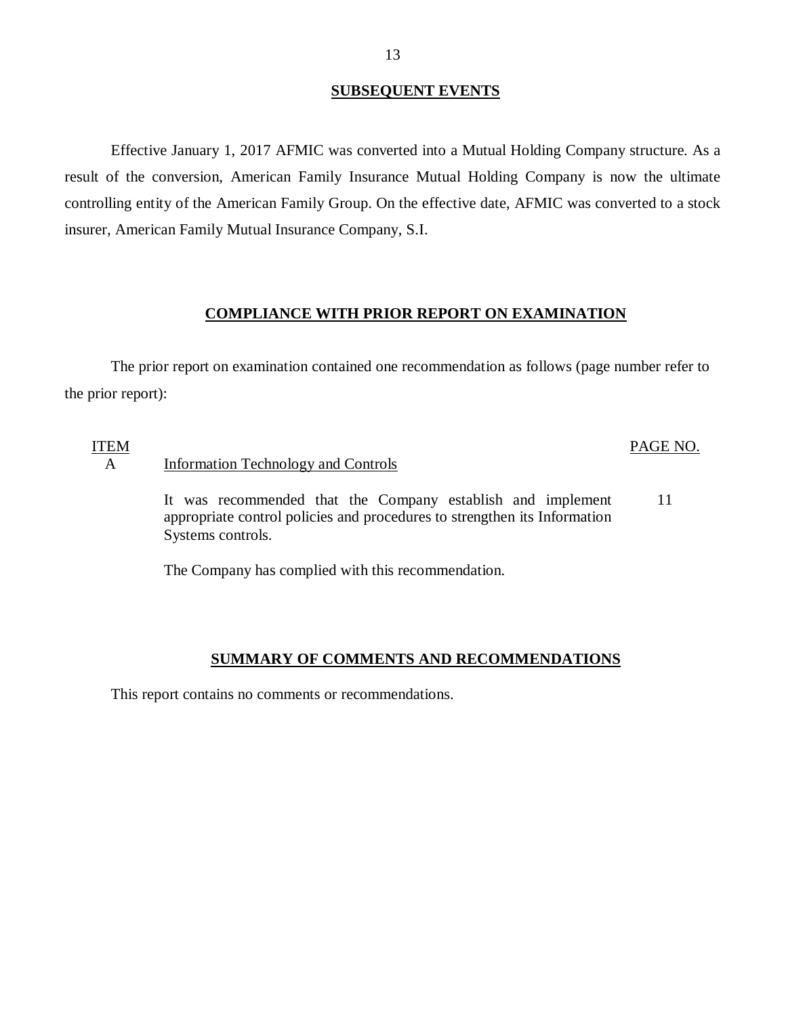### **SUBSEQUENT EVENTS**

Effective January 1, 2017 AFMIC was converted into a Mutual Holding Company structure. As a result of the conversion, American Family Insurance Mutual Holding Company is now the ultimate controlling entity of the American Family Group. On the effective date, AFMIC was converted to a stock insurer, American Family Mutual Insurance Company, S.I.

### **COMPLIANCE WITH PRIOR REPORT ON EXAMINATION**

The prior report on examination contained one recommendation as follows (page number refer to the prior report):

ITEM

### PAGE NO.

### A Information Technology and Controls

It was recommended that the Company establish and implement appropriate control policies and procedures to strengthen its Information Systems controls. 11

The Company has complied with this recommendation.

### **SUMMARY OF COMMENTS AND RECOMMENDATIONS**

This report contains no comments or recommendations.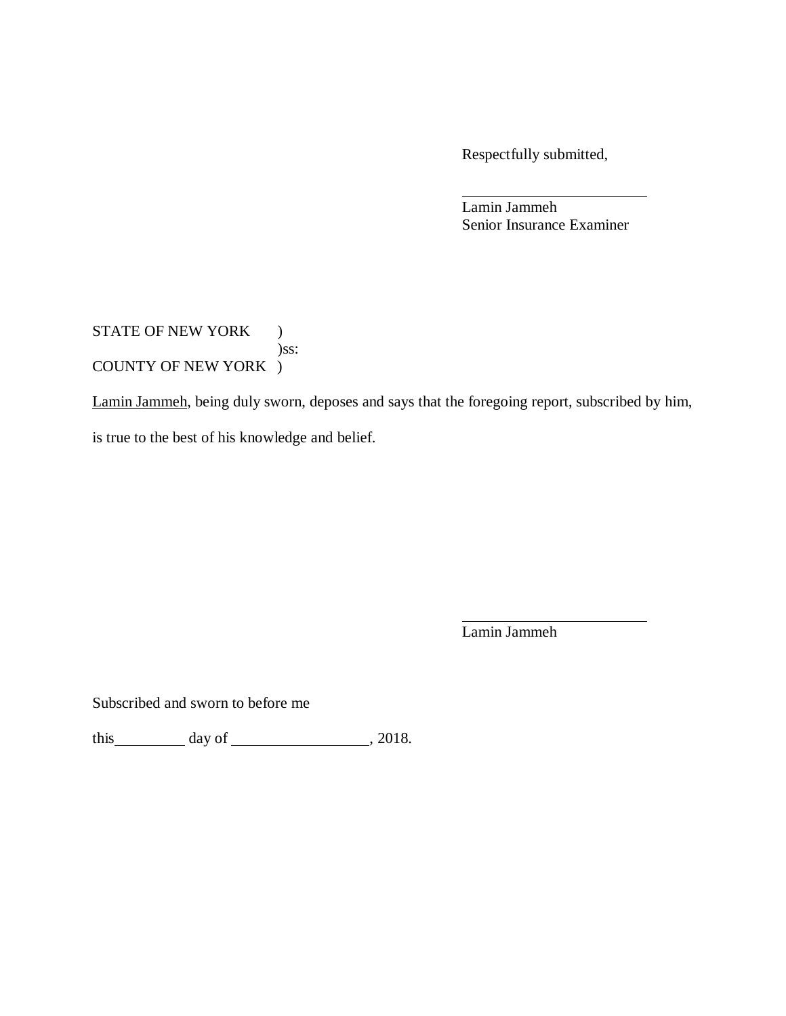Respectfully submitted,

Lamin Jammeh Senior Insurance Examiner

STATE OF NEW YORK ) )ss: COUNTY OF NEW YORK )

Lamin Jammeh, being duly sworn, deposes and says that the foregoing report, subscribed by him, is true to the best of his knowledge and belief.

Lamin Jammeh

Subscribed and sworn to before me

this  $\qquad \qquad \text{day of} \qquad \qquad 2018.$